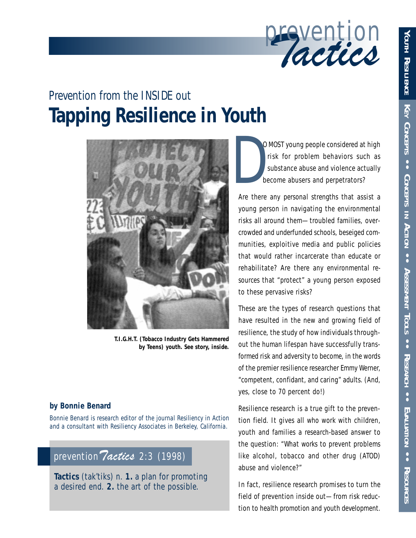

# **Tapping Resilience in Youth** *Prevention from the INSIDE out*



**T.I.G.H.T. (Tobacco Industry Gets Hammered by Teens) youth. See story, inside.**

### **by Bonnie Benard**

*Bonnie Benard is research editor of the journal Resiliency in Action and a consultant with Resiliency Associates in Berkeley, California.*

### prevention *Tactics* 2:3 (1998)

**Tactics** (tak'tiks) *n.* **1.** a plan for promoting a desired end. **2.** the art of the possible.

O MOST young people considered at high risk for problem behaviors such as substance abuse and violence actually become abusers and perpetrators? D<br>D<br>Are there

Are there any *personal strengths* that assist a young person in navigating the environmental risks all around them—troubled families, overcrowded and underfunded schools, beseiged communities, exploitive media and public policies that would rather incarcerate than educate or rehabilitate? Are there any *environmental resources* that "protect" a young person exposed to these pervasive risks?

These are the types of research questions that have resulted in the new and growing field of resilience, the study of how individuals throughout the human lifespan have successfully transformed risk and adversity to become, in the words of the premier resilience researcher Emmy Werner, "competent, confidant, and caring" adults. (And, yes, close to 70 percent do!)

Resilience research is a true gift to the prevention field. It gives all who work with children, youth and families a *research-based* answer to the question: "*What works* to prevent problems like alcohol, tobacco and other drug (ATOD) abuse and violence?"

In fact, resilience research promises to turn the field of prevention inside out—from risk reduction to *health promotion* and *youth development.*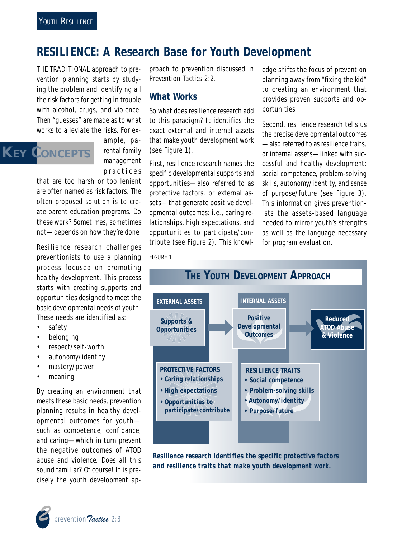## **RESILIENCE: A Research Base for Youth Development**

THE TRADITIONAL approach to prevention planning starts by studying the problem and identifying all the risk factors for getting in trouble with alcohol, drugs, and violence*.* Then "guesses" are made as to what works to alleviate the risks. For ex-

# **KEY CONCEPTS**

ample, parental family management practices

that are too harsh or too lenient are often named as risk factors. The often proposed solution is to create parent education programs. Do these work? Sometimes, sometimes not—depends on how they're done.

Resilience research challenges preventionists to use a planning process focused on promoting *healthy* development. This process starts with creating supports and opportunities designed to meet the basic developmental needs of youth. These needs are identified as:

- safety
- belonging
- respect/self-worth
- autonomy/identity
- mastery/power
- meaning

By creating an environment that meets these basic needs, prevention planning results in healthy developmental outcomes for youth such as competence, confidance, and caring—which in turn prevent the negative outcomes of ATOD abuse and violence. Does all this sound familiar? Of course! It is precisely the youth development approach to prevention discussed in *Prevention Tactics* 2:2.

### **What Works**

So what does resilience research add to this paradigm? It identifies the exact external and internal assets that make youth development work (see Figure 1).

First, resilience research names the specific developmental supports and opportunities—also referred to as protective factors, or external assets—that generate positive developmental outcomes: i.e., caring relationships, high expectations, and opportunities to participate/contribute (see Figure 2). This knowledge shifts the focus of prevention planning away from "fixing the kid" to creating an environment that provides proven supports and opportunities.

Second, resilience research tells us the precise developmental outcomes —also referred to as resilience traits, or internal assets—linked with successful and healthy development: social competence, problem-solving skills, autonomy/identity, and sense of purpose/future (see Figure 3). This information gives preventionists the assets-based language needed to mirror youth's strengths as well as the language necessary for program evaluation.

FIGURE 1



*Resilience research identifies the specific protective factors and resilience traits that make youth development work.*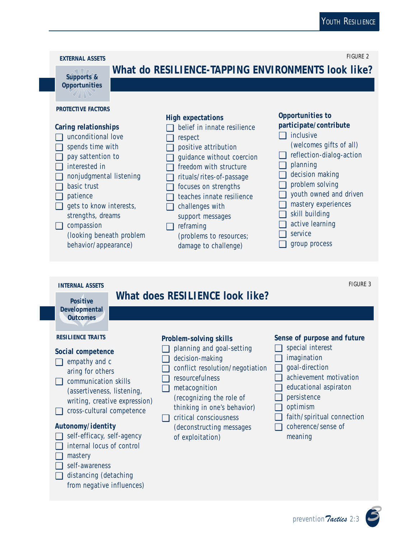FIGURE 2



## **What do RESILIENCE-TAPPING ENVIRONMENTS look like?**

### **PROTECTIVE FACTORS**

**Opportunities**

 $\mathscr{G}/\!/$ |\\ $\mathscr{G}$ 

### **Caring relationships**

- □ unconditional love
- ❑ spends time with
- ❑ pay sattention to
- ❑ interested in
- ❑ nonjudgmental listening
- ❑ basic trust
- ❑ patience
- $\Box$  gets to know interests, strengths, dreams

❑ compassion (looking beneath problem behavior/appearance)

### **High expectations**

- □ belief in innate resilience
- ❑ respect
- ❑ positive attribution
- □ quidance without coercion
- □ freedom with structure
- ❑ rituals/rites-of-passage
- ❑ focuses on strengths
- ❑ teaches innate resilience
- $\Box$  challenges with support messages
- ❑ reframing
	- (problems to resources; damage to challenge)

### **Opportunities to participate/contribute**

- ❑ inclusive
- (welcomes gifts of all)
- ❑ reflection-dialog-action
- ❑ planning
- □ decision making
- ❑ problem solving
- □ youth owned and driven
- ❑ mastery experiences
- $\Box$  skill building
- □ active learning
- ❑ service
- ❑ group process

### **INTERNAL ASSETS**

### **What does RESILIENCE look like?**

**Positive Developmental Outcomes**

### **Social competence**

- ❑ empathy and c aring for others
- ❑ communication skills (assertiveness, listening, writing, creative expression)
- ❑ cross-cultural competence

### **Autonomy/identity**

- ❑ self-efficacy, self-agency
- ❑ internal locus of control
- ❑ mastery
- ❑ self-awareness
- ❑ distancing (detaching from negative influences)

### **Problem-solving skills**

- ❑ planning and goal-setting
- ❑ decision-making
- ❑ conflict resolution/negotiation ❑ goal-direction
- ❑ resourcefulness
- ❑ metacognition (recognizing the role of
- thinking in one's behavior) ❑ critical consciousness
	- (deconstructing messages of exploitation)

### **RESILIENCE TRAITS Sense of purpose and future**

- ❑ special interest
- ❑ imagination
- 
- □ achievement motivation
- ❑ educational aspiraton
- ❑ persistence
- ❑ optimism
- ❑ faith/spiritual connection
- ❑ coherence/sense of meaning



FIGURE 3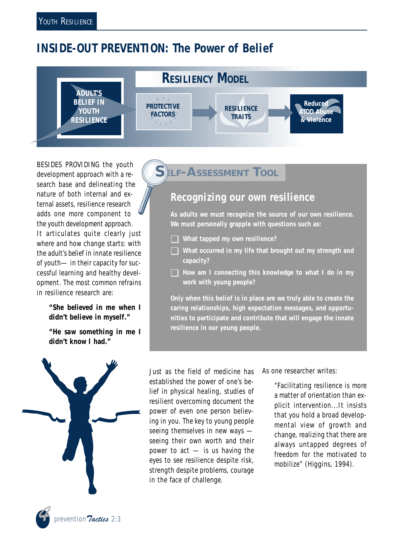## **INSIDE-OUT PREVENTION: The Power of Belief**



BESIDES PROVIDING the youth development approach with a research base and delineating the nature of both internal and external assets, resilience research adds one more component to the youth development approach. It articulates quite clearly just where and how change starts: with the *adult's belief* in innate resilience of youth— in their capacity for successful learning and healthy development. The most common refrains in resilience research are:

> **"She** *believed* **in me when I didn't believe in myself."**

> **"He** *saw* **something in me I didn't know I had."**



## **LF-ASSESSMENT TOOL**

### **Recognizing our own resilience**

**As adults we must recognize the source of our own resilience. We must personally grapple with questions such as:**

- ❑ **What tapped my own resilience?**
- ❑ **What occurred in my life that brought out my strength and capacity?**
- ❑ **How am I connecting this knowledge to what I do in my work with young people?**

**Only when this belief is in place are we truly able to create the caring relationships, high expectation messages, and opportunities to participate and contribute that will engage the innate resilience in our young people.**

Just as the field of medicine has established the power of one's belief in physical healing, studies of resilient overcoming document the power of even one person believing in you. The key to young people seeing themselves in new ways seeing their own worth and their power to act — is *us having the eyes to see* resilience despite risk, strength despite problems, courage in the face of challenge.

As one researcher writes:

"Facilitating resilience is more a matter of orientation than explicit intervention...It insists that you hold a broad developmental view of growth and change, realizing that there are always untapped degrees of freedom for the motivated to mobilize" (Higgins, 1994).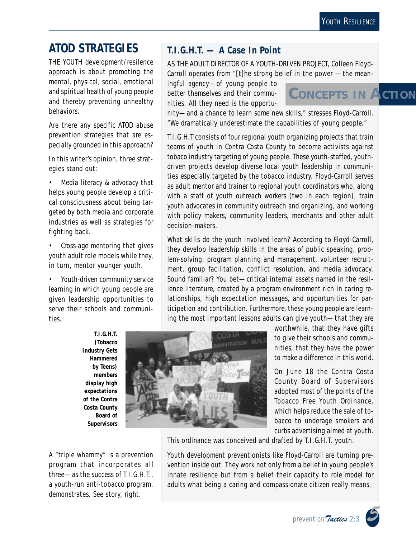## **ATOD STRATEGIES**

THE YOUTH development/resilence approach is about promoting the mental, physical, social, emotional and spiritual health of young people and thereby preventing unhealthy behaviors.

Are there any *specific* ATOD abuse prevention strategies that are especially grounded in this approach?

In this writer's opinion, three strategies stand out:

• *Media literacy & advocacy* that helps young people develop a critical consciousness about being targeted by both media and corporate industries as well as strategies for fighting back.

• *Cross-age mentoring* that gives youth adult role models while they, in turn, mentor younger youth.

• *Youth-driven community service learning* in which young people are given leadership opportunities to serve their schools and communities.

### **T.I.G.H.T. — A Case In Point**

AS THE ADULT DIRECTOR OF A YOUTH-DRIVEN PROJECT, Colleen Floyd-Carroll operates from "[t]he strong belief in the power —the mean-

ingful agency—of young people to better themselves and their communities. All they need is the opportu-

**CONCEPTS IN ACTION**

nity—and a chance to learn some new skills," stresses Floyd-Carroll. "We dramatically underestimate the capabilities of young people."

T.I.G.H.T consists of four regional youth organizing projects that train teams of youth in Contra Costa County to become activists against tobaco industry targeting of young people. These youth-staffed, youthdriven projects develop diverse local youth leadership in communities especially targeted by the tobacco industry. Floyd-Carroll serves as adult mentor and trainer to regional *youth coordinators* who, along with a staff of *youth outreach workers* (two in each region), train *youth advocates* in community outreach and organizing, and working with policy makers, community leaders, merchants and other adult decision-makers.

What skills do the youth involved learn? According to Floyd-Carroll, they develop leadership skills in the areas of public speaking, problem-solving, program planning and management, volunteer recruitment, group facilitation, conflict resolution, and media advocacy. Sound familiar? You bet—critical internal assets named in the resilience literature, created by a program environment rich in caring relationships, high expectation messages, and opportunities for participation and contribution. Furthermore, these young people are learning the most important lessons adults can give youth—that they are

**T.I.G.H.T. (Tobacco Industry Gets Hammered by Teens) members display high expectations of the Contra Costa County Board of Supervisors**

A "triple whammy" is a prevention program that incorporates all three—as the success of T.I.G.H.T., a youth-run anti-tobacco program, demonstrates. See story, right.



worthwhile, that they have gifts to give their schools and communities, that they have the power to make a difference in this world.

On June 18 the Contra Costa County Board of Supervisors adopted most of the points of the Tobacco Free Youth Ordinance, which helps reduce the sale of tobacco to underage smokers and curbs advertising aimed at youth.

This ordinance was conceived and drafted by T.I.G.H.T. youth.

Youth development preventionists like Floyd-Carroll are turning prevention inside out. They work not only from a belief in young people's innate resilience but from a belief their capacity to *role model for adults* what being a caring and compassionate citizen really means.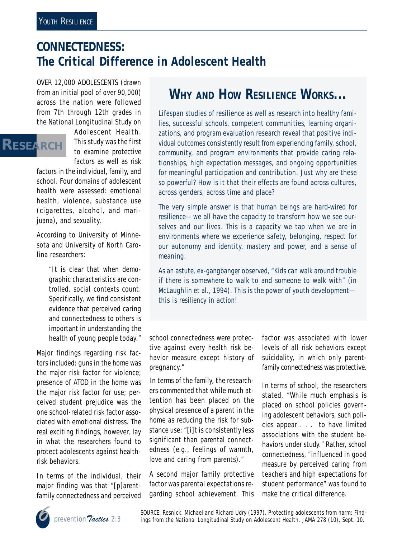## **CONNECTEDNESS: The Critical Difference in Adolescent Health**

OVER 12,000 ADOLESCENTS (drawn from an initial pool of over 90,000) across the nation were followed from 7th through 12th grades in the National Longitudinal Study on

## **RESEARCH**

Adolescent Health. This study was the first to examine *protective* factors as well as risk

factors in the individual, family, and school. Four domains of adolescent health were assessed: emotional health, violence, substance use (cigarettes, alcohol, and marijuana), and sexuality.

According to University of Minnesota and University of North Carolina researchers:

> "It is clear that when demographic characteristics are controlled, social contexts count. Specifically, we find consistent evidence that perceived caring and connectedness to others is important in understanding the health of young people today."

Major findings regarding risk factors included: guns in the home was the major risk factor for violence; presence of ATOD in the home was the major risk factor for use; perceived student prejudice was the one school-related risk factor associated with emotional distress. The real exciting findings, however, lay in what the researchers found to protect adolescents against healthrisk behaviors.

In terms of the individual, their major finding was that "[p]arentfamily connectedness and perceived

## **WHY AND HOW RESILIENCE WORKS...**

Lifespan studies of resilience as well as research into healthy families, successful schools, competent communities, learning organizations, and program evaluation research reveal that positive individual outcomes consistently result from experiencing family, school, community, and program environments that provide caring relationships, high expectation messages, and ongoing opportunities for meaningful participation and contribution. Just why are these so powerful? How is it that their effects are found across cultures, across genders, across time and place?

The very simple answer is that human beings are *hard-wired for resilience*—we all have the capacity to transform how we see ourselves and our lives. This is a capacity we tap when we are in environments where we experience safety, belonging, respect for our autonomy and identity, mastery and power, and a sense of meaning.

As an astute, ex-gangbanger observed, "Kids can walk around trouble if there is *somewhere* to walk to and *someone* to walk with" (in McLaughlin et al., 1994). This is the power of youth development this is *resiliency in action!*

### school connectedness were protective against every health risk behavior measure except history of pregnancy."

In terms of the family, the researchers commented that while much attention has been placed on the physical presence of a parent in the home as reducing the risk for substance use: "[i]t is consistently less significant than parental connectedness (e.g., feelings of warmth, love and caring from parents)."

A second major family protective factor was parental expectations regarding school achievement. This factor was associated with lower levels of all risk behaviors except suicidality, in which only parentfamily connectedness was protective.

In terms of school, the researchers stated, "While much emphasis is placed on school policies governing adolescent behaviors, such policies appear . . . to have limited associations with the student behaviors under study." Rather, *school connectedness,* "influenced in good measure by perceived caring from teachers and high expectations for student performance" was found to make the critical difference.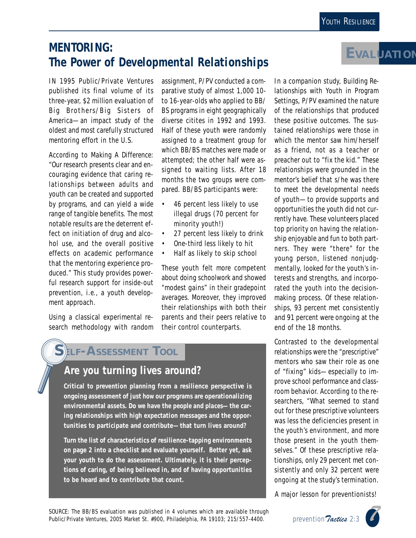## **MENTORING: The Power of** *Developmental* **Relationships**

IN 1995 Public/Private Ventures published its final volume of its three-year, \$2 million evaluation of Big Brothers/Big Sisters of America—an impact study of the oldest and most carefully structured mentoring effort in the U.S.

According to *Making A Difference:* "Our research presents clear and encouraging evidence that caring relationships between adults and youth can be created and supported by programs, and can yield a wide range of tangible benefits. The most notable results are the deterrent effect on initiation of drug and alcohol use, and the overall positive effects on academic performance that the mentoring experience produced." This study provides powerful research support for inside-out prevention, i.e., a youth development approach.

Using a classical experimental research methodology with random

assignment, P/PV conducted a comparative study of almost 1,000 10 to 16-year-olds who applied to BB/ BS programs in eight geographically diverse citites in 1992 and 1993. Half of these youth were randomly assigned to a treatment group for which BB/BS matches were made or attempted; the other half were assigned to waiting lists. After 18 months the two groups were compared. BB/BS participants were:

- 46 percent less likely to use illegal drugs (70 percent for minority youth!)
- 27 percent less likely to drink
- One-third less likely to hit
- Half as likely to skip school

These youth felt more competent about doing schoolwork and showed "modest gains" in their gradepoint averages. Moreover, they improved their relationships with both their parents and their peers relative to their control counterparts.

### **SELF-ASSESSMENT TOOL**

### **Are you turning lives around?**

**Critical to prevention planning from a resilience perspective is ongoing assessment of just** *how* **our programs are operationalizing environmental assets. Do we have the** *people* **and** *places—***the caring relationships with high expectation messages and the opportunities to participate and contribute—that turn lives around?**

**Turn the list of characteristics of resilience-tapping environments on page 2 into a checklist and evaluate yourself. Better yet, ask your youth to do the assessment. Ultimately, it is** *their* **perceptions of caring, of being believed in, and of having opportunities to be heard and to contribute that count.**

In a companion study, *Building Relationships with Youth in Program Settings*, P/PV examined the nature of the relationships that produced these positive outcomes. The sustained relationships were those in which the mentor saw him/herself as a friend, not as a teacher or preacher out to "fix the kid." These relationships were grounded in the *mentor's belief* that s/he was there to meet the developmental needs of youth—to provide supports and opportunities the youth did not currently have. These volunteers placed top priority on having the relationship enjoyable and fun to both partners. They were "there" for the young person, listened nonjudgmentally, looked for the youth's interests and strengths, and incorporated the youth into the decisionmaking process. Of these relationships, 93 percent met consistently and 91 percent were ongoing at the end of the 18 months.

Contrasted to the developmental relationships were the "prescriptive" mentors who saw their role as one of "fixing" kids—especially to improve school performance and classroom behavior. According to the researchers, "What seemed to stand out for these prescriptive volunteers was less the deficiencies present in the youth's environment, and more those present in the youth themselves." Of these prescriptive relationships, only 29 percent met consistently and only 32 percent were ongoing at the study's termination.

A major lesson for preventionists!

**EVALUATION**